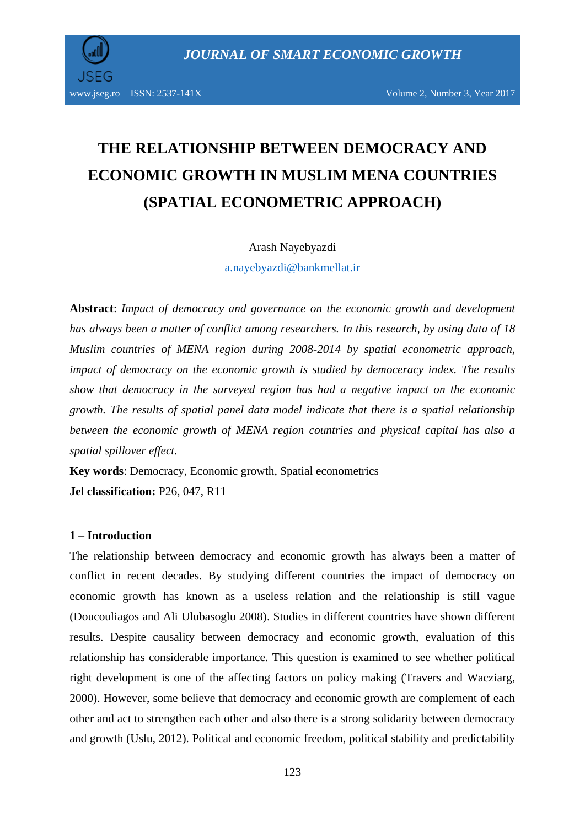

# **THE RELATIONSHIP BETWEEN DEMOCRACY AND ECONOMIC GROWTH IN MUSLIM MENA COUNTRIES (SPATIAL ECONOMETRIC APPROACH)**

Arash Nayebyazdi

[a.nayebyazdi@bankmellat.ir](mailto:a.nayebyazdi@bankmellat.ir)

**Abstract**: *Impact of democracy and governance on the economic growth and development has always been a matter of conflict among researchers. In this research, by using data of 18 Muslim countries of MENA region during 2008-2014 by spatial econometric approach, impact of democracy on the economic growth is studied by democeracy index. The results show that democracy in the surveyed region has had a negative impact on the economic growth. The results of spatial panel data model indicate that there is a spatial relationship between the economic growth of MENA region countries and physical capital has also a spatial spillover effect.*

**Key words**: Democracy, Economic growth, Spatial econometrics **Jel classification:** P26, 047, R11

#### **1 – Introduction**

The relationship between democracy and economic growth has always been a matter of conflict in recent decades. By studying different countries the impact of democracy on economic growth has known as a useless relation and the relationship is still vague (Doucouliagos and Ali Ulubasoglu 2008). Studies in different countries have shown different results. Despite causality between democracy and economic growth, evaluation of this relationship has considerable importance. This question is examined to see whether political right development is one of the affecting factors on policy making (Travers and Wacziarg, 2000). However, some believe that democracy and economic growth are complement of each other and act to strengthen each other and also there is a strong solidarity between democracy and growth (Uslu, 2012). Political and economic freedom, political stability and predictability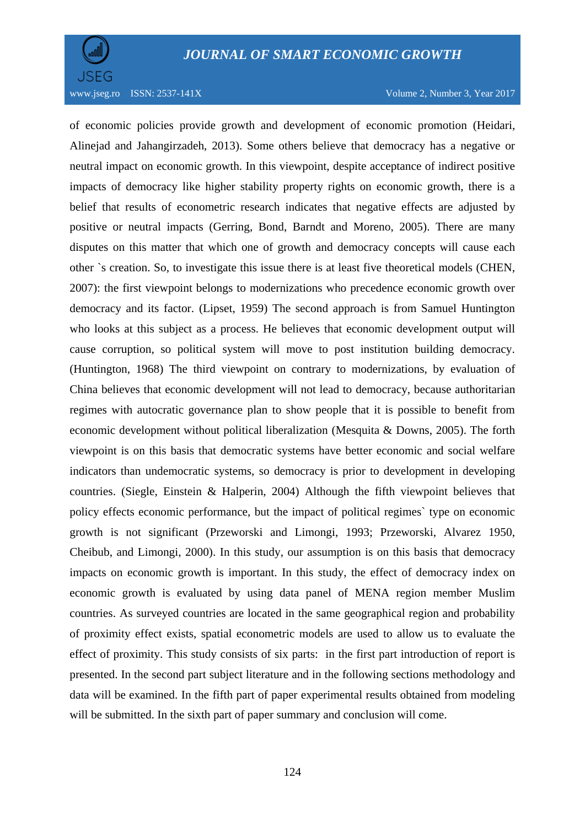

www.jseg.ro ISSN: 2537-141X Volume 2, Number 3, Year 2017

of economic policies provide growth and development of economic promotion (Heidari, Alinejad and Jahangirzadeh, 2013). Some others believe that democracy has a negative or neutral impact on economic growth. In this viewpoint, despite acceptance of indirect positive impacts of democracy like higher stability property rights on economic growth, there is a belief that results of econometric research indicates that negative effects are adjusted by positive or neutral impacts (Gerring, Bond, Barndt and Moreno, 2005). There are many disputes on this matter that which one of growth and democracy concepts will cause each other `s creation. So, to investigate this issue there is at least five theoretical models (CHEN, 2007): the first viewpoint belongs to modernizations who precedence economic growth over democracy and its factor. (Lipset, 1959) The second approach is from Samuel Huntington who looks at this subject as a process. He believes that economic development output will cause corruption, so political system will move to post institution building democracy. (Huntington, 1968) The third viewpoint on contrary to modernizations, by evaluation of China believes that economic development will not lead to democracy, because authoritarian regimes with autocratic governance plan to show people that it is possible to benefit from economic development without political liberalization (Mesquita & Downs, 2005). The forth viewpoint is on this basis that democratic systems have better economic and social welfare indicators than undemocratic systems, so democracy is prior to development in developing countries. (Siegle, Einstein & Halperin, 2004) Although the fifth viewpoint believes that policy effects economic performance, but the impact of political regimes` type on economic growth is not significant (Przeworski and Limongi, 1993; Przeworski, Alvarez 1950, Cheibub, and Limongi, 2000). In this study, our assumption is on this basis that democracy impacts on economic growth is important. In this study, the effect of democracy index on economic growth is evaluated by using data panel of MENA region member Muslim countries. As surveyed countries are located in the same geographical region and probability of proximity effect exists, spatial econometric models are used to allow us to evaluate the effect of proximity. This study consists of six parts: in the first part introduction of report is presented. In the second part subject literature and in the following sections methodology and data will be examined. In the fifth part of paper experimental results obtained from modeling will be submitted. In the sixth part of paper summary and conclusion will come.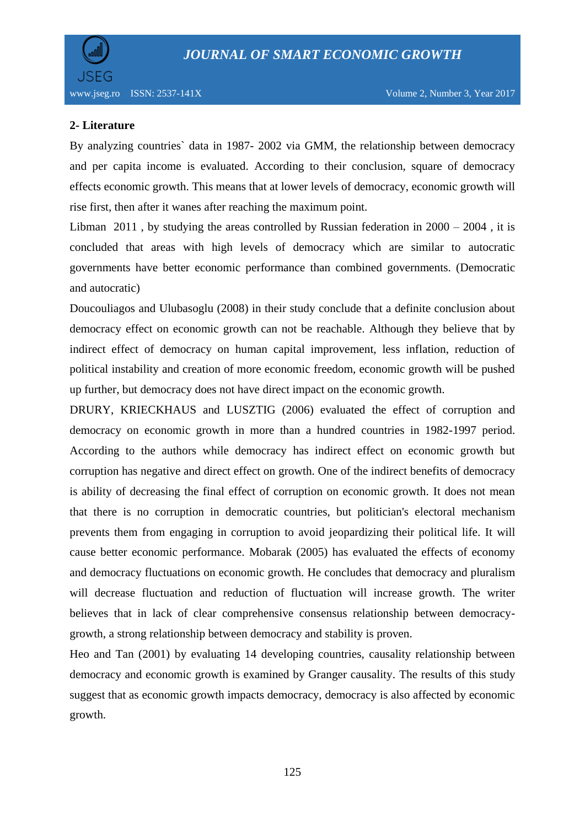

## **2- Literature**

By analyzing countries` data in 1987- 2002 via GMM, the relationship between democracy and per capita income is evaluated. According to their conclusion, square of democracy effects economic growth. This means that at lower levels of democracy, economic growth will rise first, then after it wanes after reaching the maximum point.

Libman 2011, by studying the areas controlled by Russian federation in  $2000 - 2004$ , it is concluded that areas with high levels of democracy which are similar to autocratic governments have better economic performance than combined governments. (Democratic and autocratic)

Doucouliagos and Ulubasoglu (2008) in their study conclude that a definite conclusion about democracy effect on economic growth can not be reachable. Although they believe that by indirect effect of democracy on human capital improvement, less inflation, reduction of political instability and creation of more economic freedom, economic growth will be pushed up further, but democracy does not have direct impact on the economic growth.

DRURY, KRIECKHAUS and LUSZTIG (2006) evaluated the effect of corruption and democracy on economic growth in more than a hundred countries in 1982-1997 period. According to the authors while democracy has indirect effect on economic growth but corruption has negative and direct effect on growth. One of the indirect benefits of democracy is ability of decreasing the final effect of corruption on economic growth. It does not mean that there is no corruption in democratic countries, but politician's electoral mechanism prevents them from engaging in corruption to avoid jeopardizing their political life. It will cause better economic performance. Mobarak (2005) has evaluated the effects of economy and democracy fluctuations on economic growth. He concludes that democracy and pluralism will decrease fluctuation and reduction of fluctuation will increase growth. The writer believes that in lack of clear comprehensive consensus relationship between democracygrowth, a strong relationship between democracy and stability is proven.

Heo and Tan (2001) by evaluating 14 developing countries, causality relationship between democracy and economic growth is examined by Granger causality. The results of this study suggest that as economic growth impacts democracy, democracy is also affected by economic growth.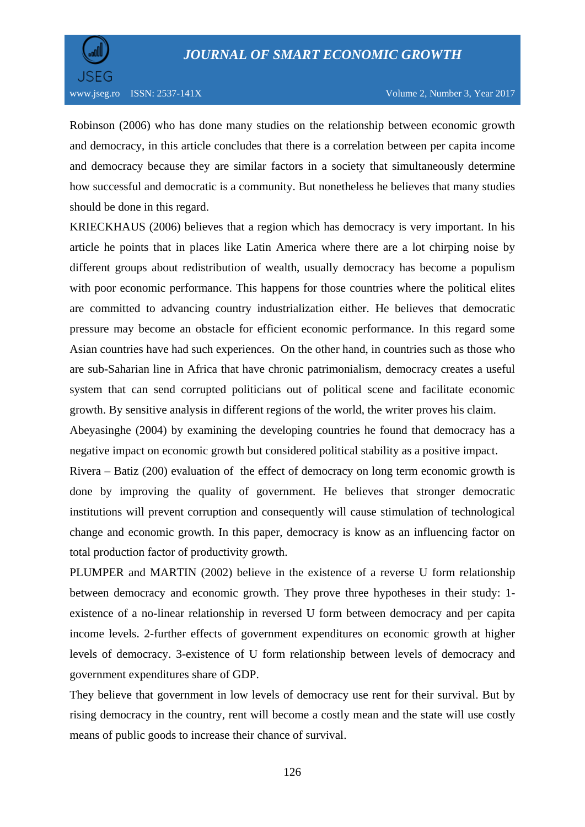

Robinson (2006) who has done many studies on the relationship between economic growth and democracy, in this article concludes that there is a correlation between per capita income and democracy because they are similar factors in a society that simultaneously determine how successful and democratic is a community. But nonetheless he believes that many studies should be done in this regard.

KRIECKHAUS (2006) believes that a region which has democracy is very important. In his article he points that in places like Latin America where there are a lot chirping noise by different groups about redistribution of wealth, usually democracy has become a populism with poor economic performance. This happens for those countries where the political elites are committed to advancing country industrialization either. He believes that democratic pressure may become an obstacle for efficient economic performance. In this regard some Asian countries have had such experiences. On the other hand, in countries such as those who are sub-Saharian line in Africa that have chronic patrimonialism, democracy creates a useful system that can send corrupted politicians out of political scene and facilitate economic growth. By sensitive analysis in different regions of the world, the writer proves his claim.

Abeyasinghe (2004) by examining the developing countries he found that democracy has a negative impact on economic growth but considered political stability as a positive impact.

Rivera – Batiz (200) evaluation of the effect of democracy on long term economic growth is done by improving the quality of government. He believes that stronger democratic institutions will prevent corruption and consequently will cause stimulation of technological change and economic growth. In this paper, democracy is know as an influencing factor on total production factor of productivity growth.

PLUMPER and MARTIN (2002) believe in the existence of a reverse U form relationship between democracy and economic growth. They prove three hypotheses in their study: 1 existence of a no-linear relationship in reversed U form between democracy and per capita income levels. 2-further effects of government expenditures on economic growth at higher levels of democracy. 3-existence of U form relationship between levels of democracy and government expenditures share of GDP.

They believe that government in low levels of democracy use rent for their survival. But by rising democracy in the country, rent will become a costly mean and the state will use costly means of public goods to increase their chance of survival.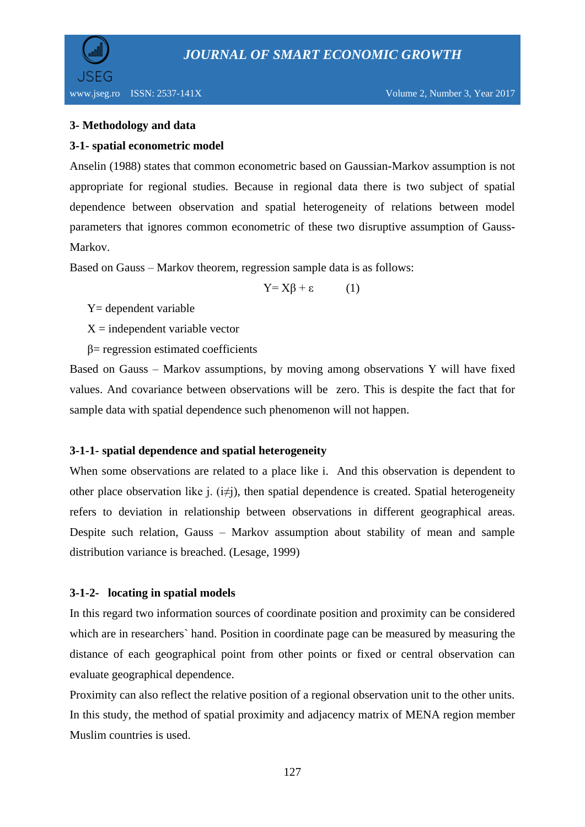

## **3- Methodology and data**

#### **3-1- spatial econometric model**

Anselin (1988) states that common econometric based on Gaussian-Markov assumption is not appropriate for regional studies. Because in regional data there is two subject of spatial dependence between observation and spatial heterogeneity of relations between model parameters that ignores common econometric of these two disruptive assumption of Gauss-Markov.

Based on Gauss – Markov theorem, regression sample data is as follows:

$$
Y = X\beta + \varepsilon \tag{1}
$$

Y= dependent variable

 $X =$  independent variable vector

β= regression estimated coefficients

Based on Gauss – Markov assumptions, by moving among observations Y will have fixed values. And covariance between observations will be zero. This is despite the fact that for sample data with spatial dependence such phenomenon will not happen.

#### **3-1-1- spatial dependence and spatial heterogeneity**

When some observations are related to a place like i. And this observation is dependent to other place observation like j.  $(i\neq j)$ , then spatial dependence is created. Spatial heterogeneity refers to deviation in relationship between observations in different geographical areas. Despite such relation, Gauss – Markov assumption about stability of mean and sample distribution variance is breached. (Lesage, 1999)

## **3-1-2- locating in spatial models**

In this regard two information sources of coordinate position and proximity can be considered which are in researchers` hand. Position in coordinate page can be measured by measuring the distance of each geographical point from other points or fixed or central observation can evaluate geographical dependence.

Proximity can also reflect the relative position of a regional observation unit to the other units. In this study, the method of spatial proximity and adjacency matrix of MENA region member Muslim countries is used.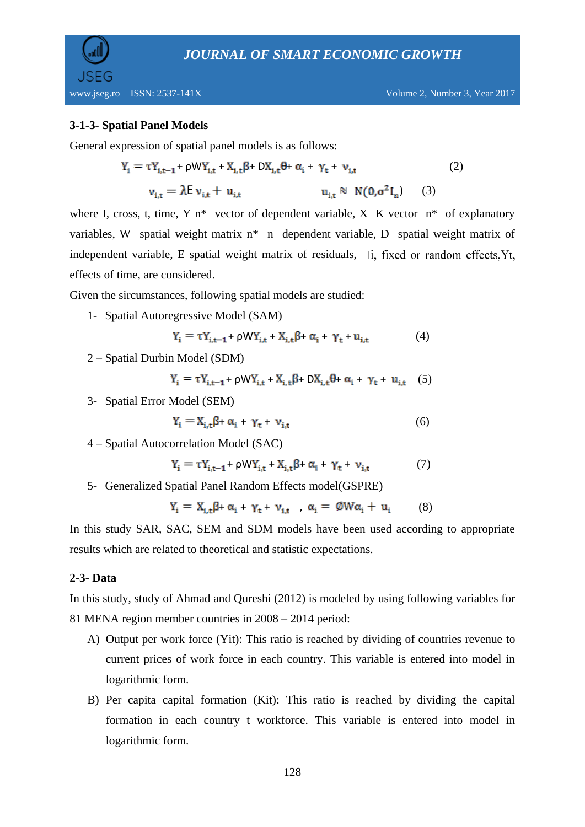

## **3-1-3- Spatial Panel Models**

General expression of spatial panel models is as follows:

$$
Y_{i} = \tau Y_{i,t-1} + \rho W Y_{i,t} + X_{i,t} \beta + DX_{i,t} \theta + \alpha_{i} + \gamma_{t} + \nu_{i,t}
$$
\n
$$
\nu_{i,t} = \lambda E \nu_{i,t} + u_{i,t} \qquad u_{i,t} \approx N(0, \sigma^{2} I_{n}) \qquad (3)
$$

where I, cross, t, time, Y  $n^*$  vector of dependent variable, X K vector  $n^*$  of explanatory variables, W spatial weight matrix n\* n dependent variable, D spatial weight matrix of independent variable, E spatial weight matrix of residuals,  $\Box$  i, fixed or random effects, Yt, effects of time, are considered.

Given the sircumstances, following spatial models are studied:

1- Spatial Autoregressive Model (SAM)

$$
Y_i = \tau Y_{i,t-1} + \rho W Y_{i,t} + X_{i,t} \beta + \alpha_i + \gamma_t + u_{i,t} \tag{4}
$$

2 – Spatial Durbin Model (SDM)

$$
Y_i = \tau Y_{i,t-1} + \rho W Y_{i,t} + X_{i,t} \beta + D X_{i,t} \theta + \alpha_i + \gamma_t + u_{i,t} \quad (5)
$$

3- Spatial Error Model (SEM)

$$
Y_i = X_{i,t} \beta + \alpha_i + \gamma_t + \nu_{i,t}
$$
 (6)

4 – Spatial Autocorrelation Model (SAC)

$$
Y_i = \tau Y_{i,t-1} + \rho W Y_{i,t} + X_{i,t} \beta + \alpha_i + \gamma_t + \nu_{i,t} \tag{7}
$$

5- Generalized Spatial Panel Random Effects model(GSPRE)

$$
Y_i = X_{i,t} \beta + \alpha_i + \gamma_t + \nu_{i,t} \quad , \alpha_i = \emptyset W \alpha_i + u_i \tag{8}
$$

In this study SAR, SAC, SEM and SDM models have been used according to appropriate results which are related to theoretical and statistic expectations.

#### **2-3- Data**

In this study, study of Ahmad and Qureshi (2012) is modeled by using following variables for 81 MENA region member countries in 2008 – 2014 period:

- A) Output per work force (Yit): This ratio is reached by dividing of countries revenue to current prices of work force in each country. This variable is entered into model in logarithmic form.
- B) Per capita capital formation (Kit): This ratio is reached by dividing the capital formation in each country t workforce. This variable is entered into model in logarithmic form.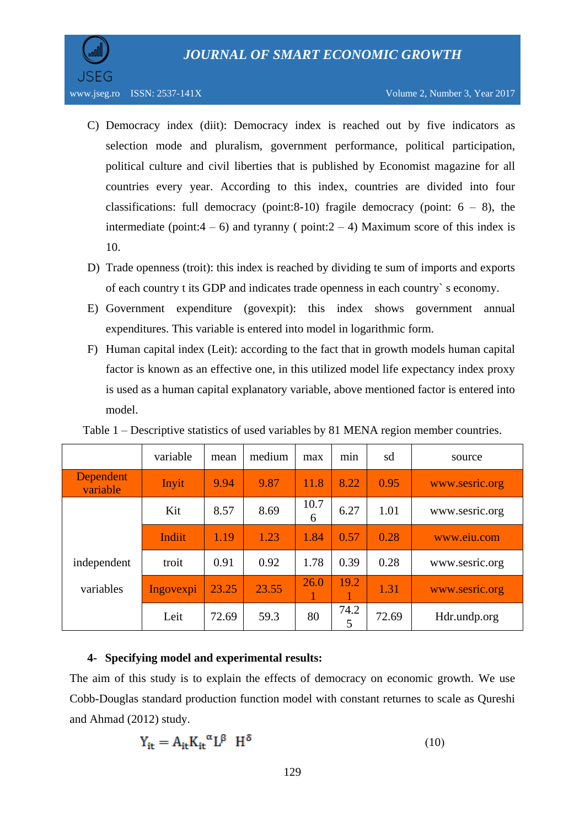

- C) Democracy index (diit): Democracy index is reached out by five indicators as selection mode and pluralism, government performance, political participation, political culture and civil liberties that is published by Economist magazine for all countries every year. According to this index, countries are divided into four classifications: full democracy (point:8-10) fragile democracy (point:  $6 - 8$ ), the intermediate (point: $4 - 6$ ) and tyranny ( point: $2 - 4$ ) Maximum score of this index is 10.
- D) Trade openness (troit): this index is reached by dividing te sum of imports and exports of each country t its GDP and indicates trade openness in each country` s economy.
- E) Government expenditure (govexpit): this index shows government annual expenditures. This variable is entered into model in logarithmic form.
- F) Human capital index (Leit): according to the fact that in growth models human capital factor is known as an effective one, in this utilized model life expectancy index proxy is used as a human capital explanatory variable, above mentioned factor is entered into model.

|                       | variable  | mean  | medium | max       | min       | sd    | source         |
|-----------------------|-----------|-------|--------|-----------|-----------|-------|----------------|
| Dependent<br>variable | Inyit     | 9.94  | 9.87   | 11.8      | 8.22      | 0.95  | www.sesric.org |
|                       | Kit       | 8.57  | 8.69   | 10.7<br>6 | 6.27      | 1.01  | www.sesric.org |
|                       | Indiit    | 1.19  | 1.23   | 1.84      | 0.57      | 0.28  | www.eiu.com    |
| independent           | troit     | 0.91  | 0.92   | 1.78      | 0.39      | 0.28  | www.sesric.org |
| variables             | Ingovexpi | 23.25 | 23.55  | 26.0      | 19.2      | 1.31  | www.sesric.org |
|                       | Leit      | 72.69 | 59.3   | 80        | 74.2<br>5 | 72.69 | Hdr.undp.org   |

Table 1 – Descriptive statistics of used variables by 81 MENA region member countries.

#### **4- Specifying model and experimental results:**

The aim of this study is to explain the effects of democracy on economic growth. We use Cobb-Douglas standard production function model with constant returnes to scale as Qureshi and Ahmad (2012) study.

$$
Y_{it} = A_{it} K_{it}^{\alpha} L^{\beta} H^{\delta}
$$
 (10)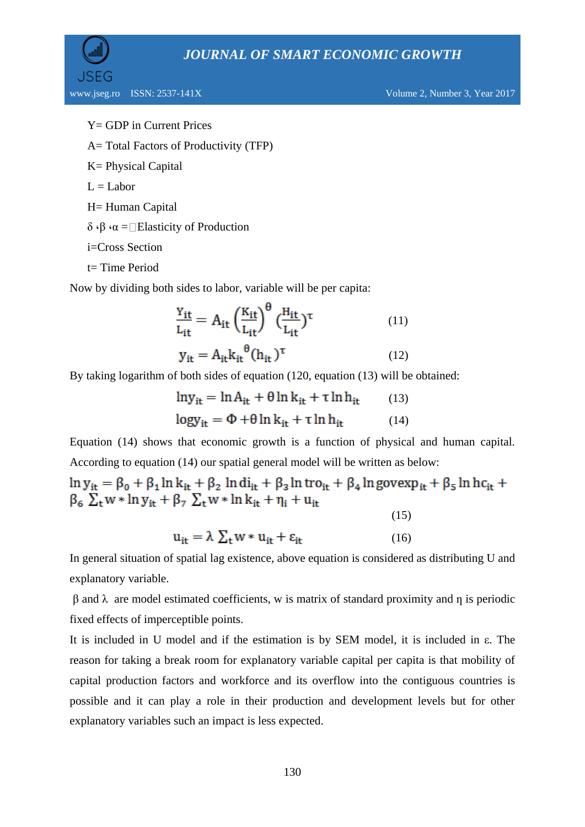```
Y= GDP in Current Prices
```
A= Total Factors of Productivity (TFP)

- K= Physical Capital
- $L =$ Labor

H= Human Capital

 $δ$  ⋅β ⋅α = Elasticity of Production

i=Cross Section

t= Time Period

Now by dividing both sides to labor, variable will be per capita:

$$
\frac{Y_{it}}{L_{it}} = A_{it} \left(\frac{K_{it}}{L_{it}}\right)^{\theta} \left(\frac{H_{it}}{L_{it}}\right)^{\tau}
$$
(11)

$$
y_{it} = A_{it} k_{it}^{\theta} (h_{it})^{\tau}
$$
 (12)

By taking logarithm of both sides of equation (120, equation (13) will be obtained:

$$
ln y_{it} = ln A_{it} + \theta ln k_{it} + \tau ln h_{it}
$$
 (13)  

$$
log y_{it} = \Phi + \theta ln k_{it} + \tau ln h_{it}
$$
 (14)

Equation (14) shows that economic growth is a function of physical and human capital. According to equation (14) our spatial general model will be written as below:

 $\ln y_{it} = \beta_0 + \beta_1 \ln k_{it} + \beta_2 \, \ln \mathrm{di}_{it} + \beta_3 \ln \mathrm{tro}_{it} + \beta_4 \ln \mathrm{govexp}_{it} + \beta_5 \ln \mathrm{hc}_{it} +$  $\beta_6 \sum_{t} w * ln y_{it} + \beta_7 \sum_{t} w * ln k_{it} + \eta_i + u_{it}$ 

(15)

$$
u_{it} = \lambda \sum_{t} w * u_{it} + \varepsilon_{it}
$$
 (16)

In general situation of spatial lag existence, above equation is considered as distributing U and explanatory variable.

 $β$  and  $λ$  are model estimated coefficients, w is matrix of standard proximity and η is periodic fixed effects of imperceptible points.

It is included in U model and if the estimation is by SEM model, it is included in ε. The reason for taking a break room for explanatory variable capital per capita is that mobility of capital production factors and workforce and its overflow into the contiguous countries is possible and it can play a role in their production and development levels but for other explanatory variables such an impact is less expected.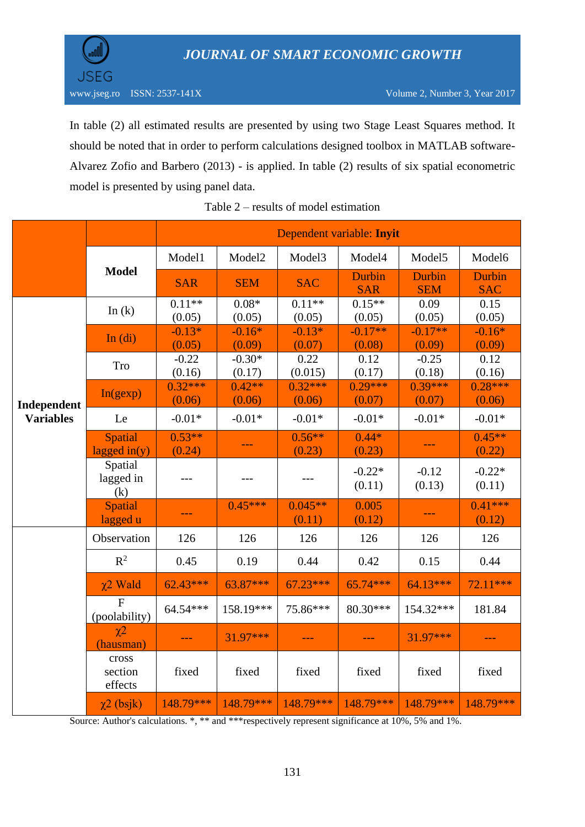

In table (2) all estimated results are presented by using two Stage Least Squares method. It should be noted that in order to perform calculations designed toolbox in MATLAB software-Alvarez Zofio and Barbero (2013) - is applied. In table (2) results of six spatial econometric model is presented by using panel data.

|                                 |                                   | Dependent variable: Inyit |                    |                     |                      |                      |                      |  |
|---------------------------------|-----------------------------------|---------------------------|--------------------|---------------------|----------------------|----------------------|----------------------|--|
|                                 |                                   | Model1                    | Model2             | Model3              | Model4               | Model <sub>5</sub>   | Model6               |  |
|                                 | <b>Model</b>                      | <b>SAR</b>                | <b>SEM</b>         | <b>SAC</b>          | Durbin<br><b>SAR</b> | Durbin<br><b>SEM</b> | Durbin<br><b>SAC</b> |  |
| Independent<br><b>Variables</b> | In $(k)$                          | $0.11**$<br>(0.05)        | $0.08*$<br>(0.05)  | $0.11**$<br>(0.05)  | $0.15**$<br>(0.05)   | 0.09<br>(0.05)       | 0.15<br>(0.05)       |  |
|                                 | In $(ii)$                         | $-0.13*$<br>(0.05)        | $-0.16*$<br>(0.09) | $-0.13*$<br>(0.07)  | $-0.17**$<br>(0.08)  | $-0.17**$<br>(0.09)  | $-0.16*$<br>(0.09)   |  |
|                                 | Tro                               | $-0.22$<br>(0.16)         | $-0.30*$<br>(0.17) | 0.22<br>(0.015)     | 0.12<br>(0.17)       | $-0.25$<br>(0.18)    | 0.12<br>(0.16)       |  |
|                                 | In(gexp)                          | $0.32***$<br>(0.06)       | $0.42**$<br>(0.06) | $0.32***$<br>(0.06) | $0.29***$<br>(0.07)  | $0.39***$<br>(0.07)  | $0.28***$<br>(0.06)  |  |
|                                 | Le                                | $-0.01*$                  | $-0.01*$           | $-0.01*$            | $-0.01*$             | $-0.01*$             | $-0.01*$             |  |
|                                 | <b>Spatial</b><br>lagged in $(y)$ | $0.53**$<br>(0.24)        | ---                | $0.56**$<br>(0.23)  | $0.44*$<br>(0.23)    |                      | $0.45**$<br>(0.22)   |  |
|                                 | Spatial<br>lagged in<br>(k)       | $---$                     |                    | $---$               | $-0.22*$<br>(0.11)   | $-0.12$<br>(0.13)    | $-0.22*$<br>(0.11)   |  |
|                                 | Spatial<br>lagged u               | ---                       | $0.45***$          | $0.045**$<br>(0.11) | 0.005<br>(0.12)      | ---                  | $0.41***$<br>(0.12)  |  |
|                                 | Observation                       | 126                       | 126                | 126                 | 126                  | 126                  | 126                  |  |
|                                 | $R^2$                             | 0.45                      | 0.19               | 0.44                | 0.42                 | 0.15                 | 0.44                 |  |
|                                 | $\chi$ 2 Wald                     | $62.43***$                | 63.87***           | $67.23***$          | 65.74***             | 64.13***             | 72.11***             |  |
|                                 | $\overline{F}$<br>(poolability)   | 64.54***                  | 158.19***          | 75.86***            | 80.30***             | 154.32***            | 181.84               |  |
|                                 | $\chi$ <sup>2</sup><br>(hausman)  |                           | $31.97***$         |                     |                      | 31.97***             |                      |  |
|                                 | cross<br>section<br>effects       | fixed                     | fixed              | fixed               | fixed                | fixed                | fixed                |  |
|                                 | $\chi$ 2 (bsjk)                   | $148.79***$               | 148.79***          | 148.79***           | 148.79***            | $148.79***$          | 148.79***            |  |

| Table $2$ – results of model estimation |  |  |  |
|-----------------------------------------|--|--|--|
|-----------------------------------------|--|--|--|

Source: Author's calculations. \*, \*\* and \*\*\* respectively represent significance at 10%, 5% and 1%.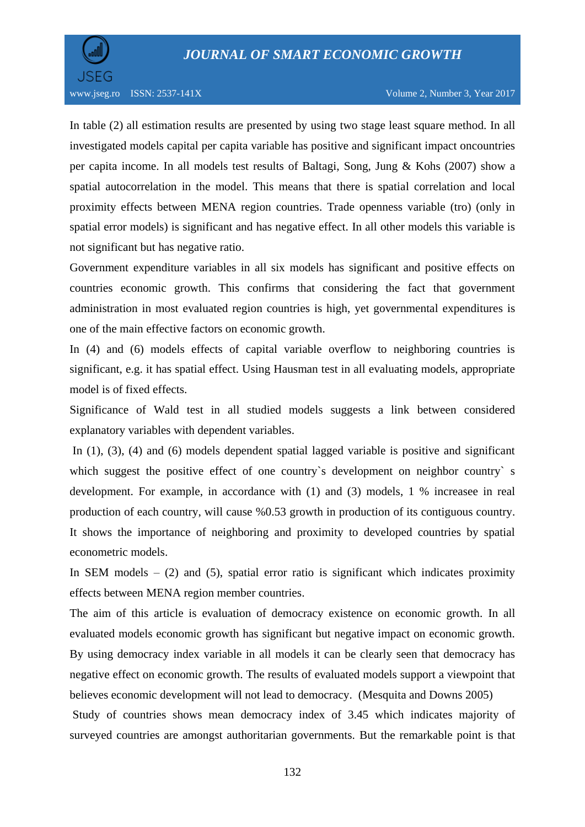

In table (2) all estimation results are presented by using two stage least square method. In all investigated models capital per capita variable has positive and significant impact oncountries per capita income. In all models test results of Baltagi, Song, Jung & Kohs (2007) show a spatial autocorrelation in the model. This means that there is spatial correlation and local proximity effects between MENA region countries. Trade openness variable (tro) (only in spatial error models) is significant and has negative effect. In all other models this variable is not significant but has negative ratio.

Government expenditure variables in all six models has significant and positive effects on countries economic growth. This confirms that considering the fact that government administration in most evaluated region countries is high, yet governmental expenditures is one of the main effective factors on economic growth.

In (4) and (6) models effects of capital variable overflow to neighboring countries is significant, e.g. it has spatial effect. Using Hausman test in all evaluating models, appropriate model is of fixed effects.

Significance of Wald test in all studied models suggests a link between considered explanatory variables with dependent variables.

In (1), (3), (4) and (6) models dependent spatial lagged variable is positive and significant which suggest the positive effect of one country's development on neighbor country's development. For example, in accordance with (1) and (3) models, 1 % increasee in real production of each country, will cause %0.53 growth in production of its contiguous country. It shows the importance of neighboring and proximity to developed countries by spatial econometric models.

In SEM models  $-$  (2) and (5), spatial error ratio is significant which indicates proximity effects between MENA region member countries.

The aim of this article is evaluation of democracy existence on economic growth. In all evaluated models economic growth has significant but negative impact on economic growth. By using democracy index variable in all models it can be clearly seen that democracy has negative effect on economic growth. The results of evaluated models support a viewpoint that believes economic development will not lead to democracy. (Mesquita and Downs 2005)

Study of countries shows mean democracy index of 3.45 which indicates majority of surveyed countries are amongst authoritarian governments. But the remarkable point is that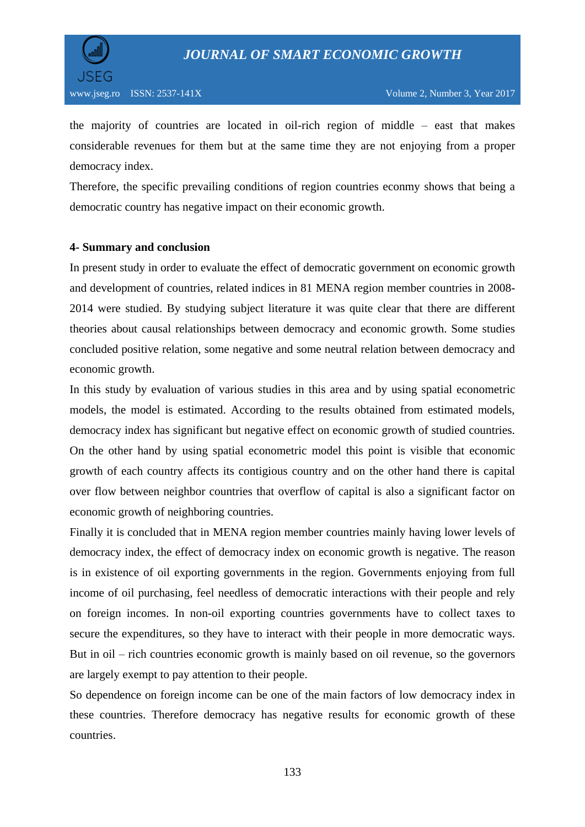



the majority of countries are located in oil-rich region of middle – east that makes considerable revenues for them but at the same time they are not enjoying from a proper democracy index.

Therefore, the specific prevailing conditions of region countries econmy shows that being a democratic country has negative impact on their economic growth.

#### **4- Summary and conclusion**

In present study in order to evaluate the effect of democratic government on economic growth and development of countries, related indices in 81 MENA region member countries in 2008- 2014 were studied. By studying subject literature it was quite clear that there are different theories about causal relationships between democracy and economic growth. Some studies concluded positive relation, some negative and some neutral relation between democracy and economic growth.

In this study by evaluation of various studies in this area and by using spatial econometric models, the model is estimated. According to the results obtained from estimated models, democracy index has significant but negative effect on economic growth of studied countries. On the other hand by using spatial econometric model this point is visible that economic growth of each country affects its contigious country and on the other hand there is capital over flow between neighbor countries that overflow of capital is also a significant factor on economic growth of neighboring countries.

Finally it is concluded that in MENA region member countries mainly having lower levels of democracy index, the effect of democracy index on economic growth is negative. The reason is in existence of oil exporting governments in the region. Governments enjoying from full income of oil purchasing, feel needless of democratic interactions with their people and rely on foreign incomes. In non-oil exporting countries governments have to collect taxes to secure the expenditures, so they have to interact with their people in more democratic ways. But in oil – rich countries economic growth is mainly based on oil revenue, so the governors are largely exempt to pay attention to their people.

So dependence on foreign income can be one of the main factors of low democracy index in these countries. Therefore democracy has negative results for economic growth of these countries.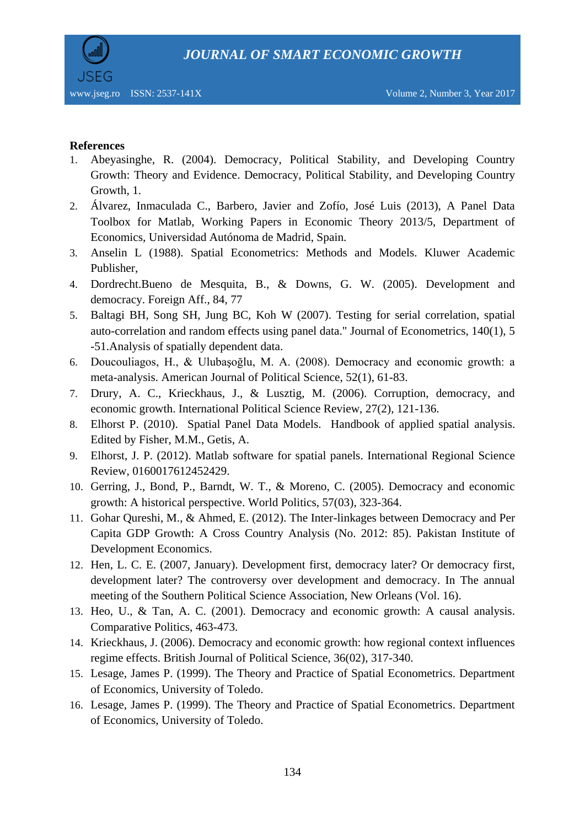

## **References**

- 1. Abeyasinghe, R. (2004). Democracy, Political Stability, and Developing Country Growth: Theory and Evidence. Democracy, Political Stability, and Developing Country Growth, 1.
- 2. Álvarez, Inmaculada C., Barbero, Javier and Zofío, José Luis (2013), A Panel Data Toolbox for Matlab, Working Papers in Economic Theory 2013/5, Department of Economics, Universidad Autónoma de Madrid, Spain.
- 3. Anselin L (1988). Spatial Econometrics: Methods and Models. Kluwer Academic Publisher,
- 4. Dordrecht.Bueno de Mesquita, B., & Downs, G. W. (2005). Development and democracy. Foreign Aff., 84, 77
- 5. Baltagi BH, Song SH, Jung BC, Koh W (2007). Testing for serial correlation, spatial auto-correlation and random effects using panel data." Journal of Econometrics, 140(1), 5 -51.Analysis of spatially dependent data.
- 6. Doucouliagos, H., & Ulubaşoğlu, M. A. (2008). Democracy and economic growth: a meta-analysis. American Journal of Political Science, 52(1), 61-83.
- 7. Drury, A. C., Krieckhaus, J., & Lusztig, M. (2006). Corruption, democracy, and economic growth. International Political Science Review, 27(2), 121-136.
- 8. Elhorst P. (2010). Spatial Panel Data Models. Handbook of applied spatial analysis. Edited by Fisher, M.M., Getis, A.
- 9. Elhorst, J. P. (2012). Matlab software for spatial panels. International Regional Science Review, 0160017612452429.
- 10. Gerring, J., Bond, P., Barndt, W. T., & Moreno, C. (2005). Democracy and economic growth: A historical perspective. World Politics, 57(03), 323-364.
- 11. Gohar Qureshi, M., & Ahmed, E. (2012). The Inter-linkages between Democracy and Per Capita GDP Growth: A Cross Country Analysis (No. 2012: 85). Pakistan Institute of Development Economics.
- 12. Hen, L. C. E. (2007, January). Development first, democracy later? Or democracy first, development later? The controversy over development and democracy. In The annual meeting of the Southern Political Science Association, New Orleans (Vol. 16).
- 13. Heo, U., & Tan, A. C. (2001). Democracy and economic growth: A causal analysis. Comparative Politics, 463-473.
- 14. Krieckhaus, J. (2006). Democracy and economic growth: how regional context influences regime effects. British Journal of Political Science, 36(02), 317-340.
- 15. Lesage, James P. (1999). The Theory and Practice of Spatial Econometrics. Department of Economics, University of Toledo.
- 16. Lesage, James P. (1999). The Theory and Practice of Spatial Econometrics. Department of Economics, University of Toledo.